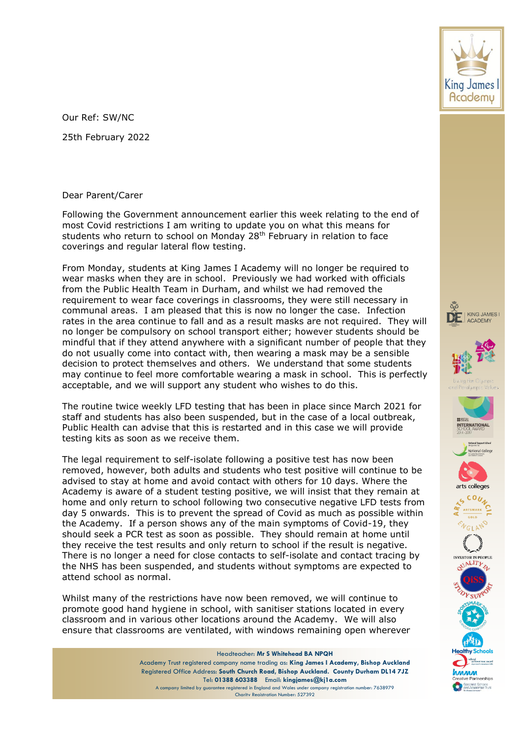Our Ref: SW/NC 25th February 2022

## Dear Parent/Carer

Following the Government announcement earlier this week relating to the end of most Covid restrictions I am writing to update you on what this means for students who return to school on Monday 28<sup>th</sup> February in relation to face coverings and regular lateral flow testing.

From Monday, students at King James I Academy will no longer be required to wear masks when they are in school. Previously we had worked with officials from the Public Health Team in Durham, and whilst we had removed the requirement to wear face coverings in classrooms, they were still necessary in communal areas. I am pleased that this is now no longer the case. Infection rates in the area continue to fall and as a result masks are not required. They will no longer be compulsory on school transport either; however students should be mindful that if they attend anywhere with a significant number of people that they do not usually come into contact with, then wearing a mask may be a sensible decision to protect themselves and others. We understand that some students may continue to feel more comfortable wearing a mask in school. This is perfectly acceptable, and we will support any student who wishes to do this.

The routine twice weekly LFD testing that has been in place since March 2021 for staff and students has also been suspended, but in the case of a local outbreak, Public Health can advise that this is restarted and in this case we will provide testing kits as soon as we receive them.

The legal requirement to self-isolate following a positive test has now been removed, however, both adults and students who test positive will continue to be advised to stay at home and avoid contact with others for 10 days. Where the Academy is aware of a student testing positive, we will insist that they remain at home and only return to school following two consecutive negative LFD tests from day 5 onwards. This is to prevent the spread of Covid as much as possible within the Academy. If a person shows any of the main symptoms of Covid-19, they should seek a PCR test as soon as possible. They should remain at home until they receive the test results and only return to school if the result is negative. There is no longer a need for close contacts to self-isolate and contact tracing by the NHS has been suspended, and students without symptoms are expected to attend school as normal.

Whilst many of the restrictions have now been removed, we will continue to promote good hand hygiene in school, with sanitiser stations located in every classroom and in various other locations around the Academy. We will also ensure that classrooms are ventilated, with windows remaining open wherever